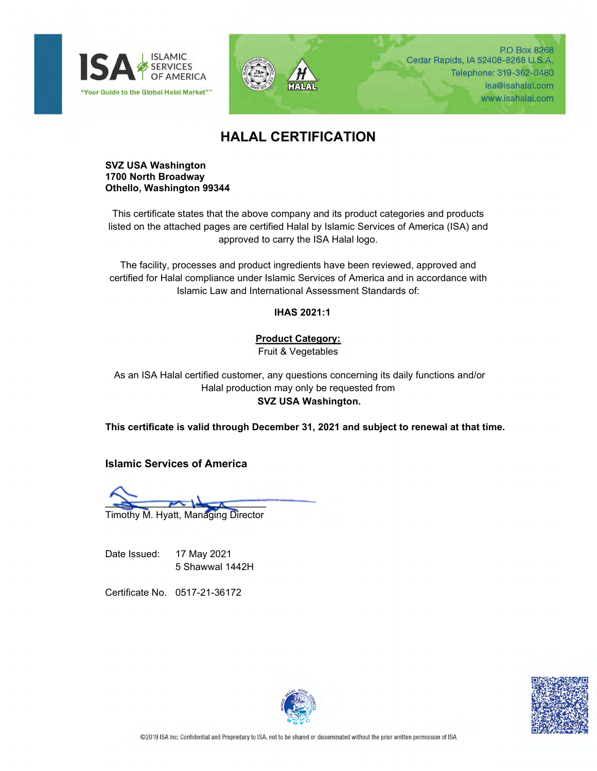



P.O Box 8268 Cedar Rapids, IA 52408-8268 U.S.A. Telephone: 319-362-0480 isa@isahalal.com www.isahalal.com

## **HALAL CERTIFICATION**

## **SVZ USA Washington 1700 North Broadway Othello, Washington 99344**

This certificate states that the above company and its product categories and products listed on the attached pages are certified Halal by Islamic Services of America (ISA) and approved to carry the ISA Halal logo.

The facility, processes and product ingredients have been reviewed, approved and certified for Halal compliance under Islamic Services of America and in accordance with Islamic Law and International Assessment Standards of:

**IHAS 2021:1**

## **Product Category:**

Fruit & Vegetables

As an ISA Halal certified customer, any questions concerning its daily functions and/or Halal production may only be requested from **SVZ USA Washington.**

**This certificate is valid through December 31, 2021 and subject to renewal at that time.**

**Islamic Services of America**

 $\overline{\phantom{a}}$ 

Timothy M. Hyatt, Managing Director

Date Issued: 17 May 2021 5 Shawwal 1442H

Certificate No. 0517-21-36172



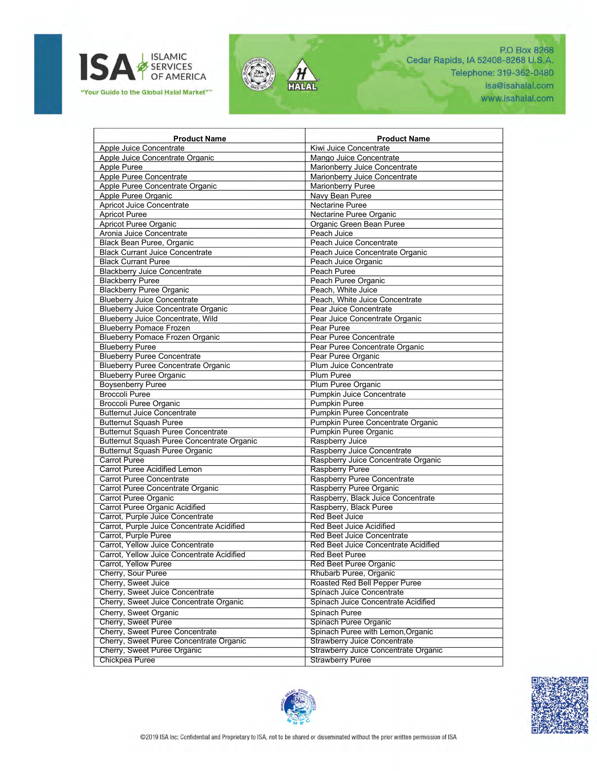



P.O Box 8268 Cedar Rapids, IA 52408-8268 U.S.A. Telephone: 319-362-0480 isa@isahalal.com www.isahalal.com

| <b>Product Name</b>                        | <b>Product Name</b>                  |
|--------------------------------------------|--------------------------------------|
| Apple Juice Concentrate                    | Kiwi Juice Concentrate               |
| Apple Juice Concentrate Organic            | Mango Juice Concentrate              |
| Apple Puree                                | Marionberry Juice Concentrate        |
| Apple Puree Concentrate                    | Marionberry Juice Concentrate        |
| Apple Puree Concentrate Organic            | <b>Marionberry Puree</b>             |
| Apple Puree Organic                        | Navy Bean Puree                      |
| <b>Apricot Juice Concentrate</b>           | Nectarine Puree                      |
| <b>Apricot Puree</b>                       | Nectarine Puree Organic              |
| Apricot Puree Organic                      | Organic Green Bean Puree             |
| Aronia Juice Concentrate                   | Peach Juice                          |
| Black Bean Puree, Organic                  | Peach Juice Concentrate              |
| <b>Black Currant Juice Concentrate</b>     | Peach Juice Concentrate Organic      |
| <b>Black Currant Puree</b>                 | Peach Juice Organic                  |
| <b>Blackberry Juice Concentrate</b>        | Peach Puree                          |
| <b>Blackberry Puree</b>                    | Peach Puree Organic                  |
| <b>Blackberry Puree Organic</b>            | Peach, White Juice                   |
| <b>Blueberry Juice Concentrate</b>         | Peach, White Juice Concentrate       |
| <b>Blueberry Juice Concentrate Organic</b> | Pear Juice Concentrate               |
| Blueberry Juice Concentrate, Wild          | Pear Juice Concentrate Organic       |
| <b>Blueberry Pomace Frozen</b>             | Pear Puree                           |
| <b>Blueberry Pomace Frozen Organic</b>     | Pear Puree Concentrate               |
| <b>Blueberry Puree</b>                     | Pear Puree Concentrate Organic       |
| <b>Blueberry Puree Concentrate</b>         | Pear Puree Organic                   |
| <b>Blueberry Puree Concentrate Organic</b> | Plum Juice Concentrate               |
| <b>Blueberry Puree Organic</b>             | <b>Plum Puree</b>                    |
| <b>Boysenberry Puree</b>                   | Plum Puree Organic                   |
| <b>Broccoli Puree</b>                      | Pumpkin Juice Concentrate            |
| Broccoli Puree Organic                     | <b>Pumpkin Puree</b>                 |
| <b>Butternut Juice Concentrate</b>         | Pumpkin Puree Concentrate            |
| <b>Butternut Squash Puree</b>              | Pumpkin Puree Concentrate Organic    |
| <b>Butternut Squash Puree Concentrate</b>  | Pumpkin Puree Organic                |
| Butternut Squash Puree Concentrate Organic | Raspberry Juice                      |
| <b>Butternut Squash Puree Organic</b>      | Raspberry Juice Concentrate          |
| Carrot Puree                               | Raspberry Juice Concentrate Organic  |
| <b>Carrot Puree Acidified Lemon</b>        | Raspberry Puree                      |
| <b>Carrot Puree Concentrate</b>            | Raspberry Puree Concentrate          |
| Carrot Puree Concentrate Organic           | Raspberry Puree Organic              |
| Carrot Puree Organic                       | Raspberry, Black Juice Concentrate   |
| <b>Carrot Puree Organic Acidified</b>      | Raspberry, Black Puree               |
| Carrot, Purple Juice Concentrate           | <b>Red Beet Juice</b>                |
| Carrot, Purple Juice Concentrate Acidified | <b>Red Beet Juice Acidified</b>      |
| Carrot, Purple Puree                       | <b>Red Beet Juice Concentrate</b>    |
| Carrot, Yellow Juice Concentrate           | Red Beet Juice Concentrate Acidified |
| Carrot, Yellow Juice Concentrate Acidified | <b>Red Beet Puree</b>                |
| <b>Carrot, Yellow Puree</b>                | <b>Red Beet Puree Organic</b>        |
| Cherry, Sour Puree                         | Rhubarb Puree, Organic               |
| Cherry, Sweet Juice                        | Roasted Red Bell Pepper Puree        |
| Cherry, Sweet Juice Concentrate            | Spinach Juice Concentrate            |
| Cherry, Sweet Juice Concentrate Organic    | Spinach Juice Concentrate Acidified  |
| Cherry, Sweet Organic                      | Spinach Puree                        |
| Cherry, Sweet Puree                        | Spinach Puree Organic                |
| Cherry, Sweet Puree Concentrate            | Spinach Puree with Lemon, Organic    |
| Cherry, Sweet Puree Concentrate Organic    | <b>Strawberry Juice Concentrate</b>  |
| Cherry, Sweet Puree Organic                | Strawberry Juice Concentrate Organic |
| <b>Chickpea Puree</b>                      | <b>Strawberry Puree</b>              |